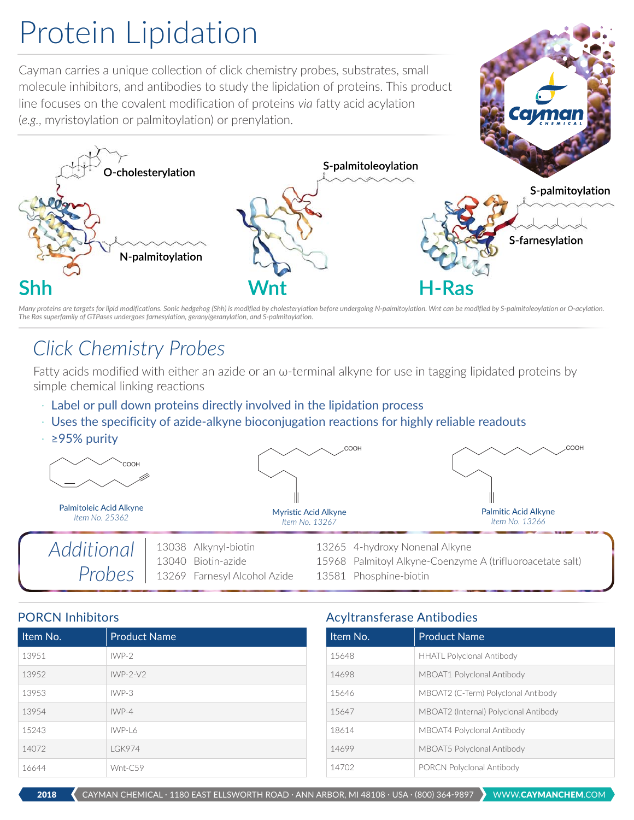# Protein Lipidation

Cayman carries a unique collection of click chemistry probes, substrates, small molecule inhibitors, and antibodies to study the lipidation of proteins. This product line focuses on the covalent modification of proteins *via* fatty acid acylation (*e.g.*, myristoylation or palmitoylation) or prenylation.



*Many proteins are targets for lipid modifications. Sonic hedgehog (Shh) is modified by cholesterylation before undergoing N-palmitoylation. Wnt can be modified by S-palmitoleoylation or O-acylation. The Ras superfamily of GTPases undergoes farnesylation, geranylgeranylation, and S-palmitoylation.*

## *Click Chemistry Probes*

Fatty acids modified with either an azide or an ω-terminal alkyne for use in tagging lipidated proteins by simple chemical linking reactions

- · Label or pull down proteins directly involved in the lipidation process
- · Uses the specificity of azide-alkyne bioconjugation reactions for highly reliable readouts
- · ≥95% purity



| Item No. | <b>Product Name</b> |
|----------|---------------------|
| 13951    | $IWP-2$             |
| 13952    | $IWP-2-V2$          |
| 13953    | $IWP-3$             |
| 13954    | $IWP-4$             |
| 15243    | $IWP-I$ 6           |
| 14072    | <b>LGK974</b>       |
| 16644    | Wnt-C59             |

#### PORCN Inhibitors **Acyltransferase Antibodies** Acyltransferase Antibodies

| Item No. | <b>Product Name</b>                   |  |
|----------|---------------------------------------|--|
| 15648    | <b>HHATL Polyclonal Antibody</b>      |  |
| 14698    | MBOAT1 Polyclonal Antibody            |  |
| 15646    | MBOAT2 (C-Term) Polyclonal Antibody   |  |
| 15647    | MBOAT2 (Internal) Polyclonal Antibody |  |
| 18614    | MBOAT4 Polyclonal Antibody            |  |
| 14699    | MBOAT5 Polyclonal Antibody            |  |
| 14702    | <b>PORCN Polyclonal Antibody</b>      |  |